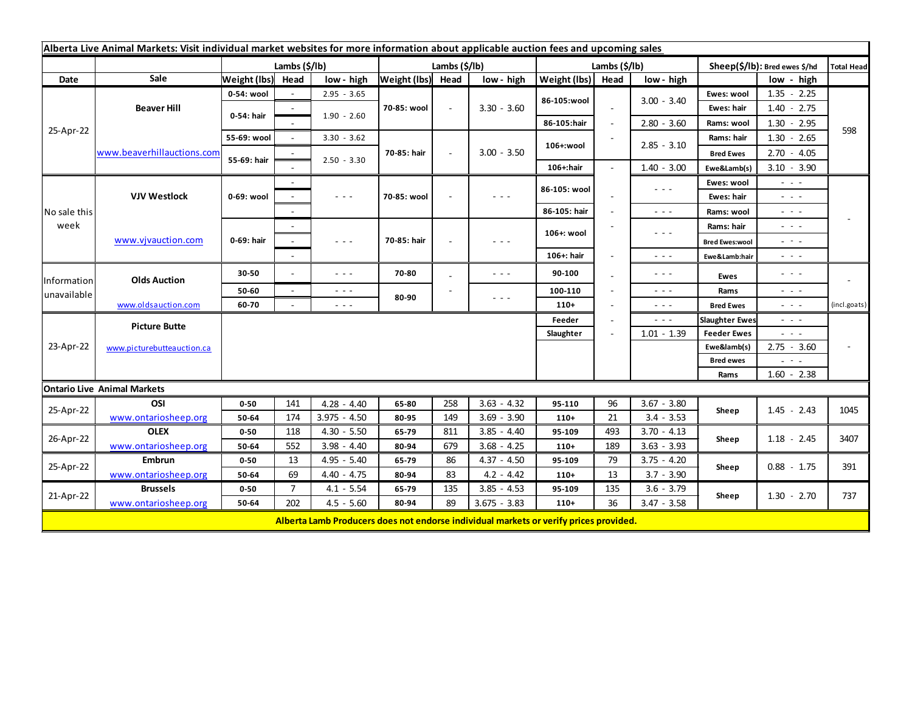| Alberta Live Animal Markets: Visit individual market websites for more information about applicable auction fees and upcoming sales |                                                    |                           |                 |                                                                                                                        |                   |        |                                                                                                                        |               |                          |                                                                                                                           |                               |                                             |                   |  |  |
|-------------------------------------------------------------------------------------------------------------------------------------|----------------------------------------------------|---------------------------|-----------------|------------------------------------------------------------------------------------------------------------------------|-------------------|--------|------------------------------------------------------------------------------------------------------------------------|---------------|--------------------------|---------------------------------------------------------------------------------------------------------------------------|-------------------------------|---------------------------------------------|-------------------|--|--|
|                                                                                                                                     |                                                    | Lambs $(\frac{2}{3})$ lb) |                 |                                                                                                                        | Lambs (\$/lb)     |        |                                                                                                                        | Lambs (\$/lb) |                          |                                                                                                                           | Sheep(\$/lb): Bred ewes \$/hd |                                             | <b>Total Head</b> |  |  |
| Date                                                                                                                                | Sale                                               | Weight (lbs)              | Head            | low - high                                                                                                             | Weight (lbs) Head |        | low - high                                                                                                             | Weight (lbs)  | Head                     | low - high                                                                                                                |                               | low - high                                  |                   |  |  |
| 25-Apr-22                                                                                                                           | <b>Beaver Hill</b>                                 | 0-54: wool                |                 | $2.95 - 3.65$                                                                                                          | 70-85: wool       | $\sim$ | $3.30 - 3.60$                                                                                                          | 86-105:wool   |                          | $3.00 - 3.40$                                                                                                             | Ewes: wool                    | $1.35 - 2.25$                               |                   |  |  |
|                                                                                                                                     |                                                    | 0-54: hair                |                 |                                                                                                                        |                   |        |                                                                                                                        |               | $\sim$                   |                                                                                                                           | Ewes: hair                    | $1.40 - 2.75$                               |                   |  |  |
|                                                                                                                                     |                                                    |                           |                 | $1.90 - 2.60$                                                                                                          |                   |        |                                                                                                                        | 86-105:hair   | $\overline{\phantom{a}}$ | $2.80 - 3.60$                                                                                                             | Rams: wool                    | $1.30 - 2.95$                               |                   |  |  |
|                                                                                                                                     | www.beaverhillauctions.com                         | 55-69: wool               | $\sim$          | $3.30 - 3.62$                                                                                                          | 70-85: hair       |        | $3.00 - 3.50$                                                                                                          | 106+:wool     |                          | $2.85 - 3.10$                                                                                                             | Rams: hair                    | $1.30 - 2.65$                               | 598               |  |  |
|                                                                                                                                     |                                                    | 55-69: hair               |                 |                                                                                                                        |                   |        |                                                                                                                        |               |                          |                                                                                                                           | <b>Bred Ewes</b>              | $2.70 - 4.05$                               |                   |  |  |
|                                                                                                                                     |                                                    |                           |                 | $2.50 - 3.30$                                                                                                          |                   |        |                                                                                                                        | 106+:hair     |                          | $1.40 - 3.00$                                                                                                             | Ewe&Lamb(s)                   | $3.10 - 3.90$                               |                   |  |  |
| No sale this<br>week                                                                                                                | <b>VJV Westlock</b>                                | 0-69: wool                |                 |                                                                                                                        | 70-85: wool       |        | $  -$                                                                                                                  | 86-105: wool  |                          | $\frac{1}{2} \left( \frac{1}{2} \right) \left( \frac{1}{2} \right) \left( \frac{1}{2} \right) \left( \frac{1}{2} \right)$ | Ewes: wool                    | $\sim$ 100 $\sim$                           |                   |  |  |
|                                                                                                                                     |                                                    |                           |                 | $\frac{1}{2} \left( \frac{1}{2} \right) \frac{1}{2} \left( \frac{1}{2} \right) \frac{1}{2} \left( \frac{1}{2} \right)$ |                   |        |                                                                                                                        |               |                          |                                                                                                                           | Ewes: hair                    | - - -                                       |                   |  |  |
|                                                                                                                                     |                                                    |                           |                 |                                                                                                                        |                   |        |                                                                                                                        | 86-105: hair  |                          | $\frac{1}{2} \left( \frac{1}{2} \right) \frac{1}{2} \left( \frac{1}{2} \right)$                                           | Rams: wool                    | $\sim$ 100 $\pm$                            |                   |  |  |
|                                                                                                                                     | www.vivauction.com                                 | 0-69: hair                |                 |                                                                                                                        | 70-85: hair       |        | - - -                                                                                                                  | 106+: wool    |                          | $\frac{1}{2} \left( \frac{1}{2} \right) \left( \frac{1}{2} \right) \left( \frac{1}{2} \right) \left( \frac{1}{2} \right)$ | Rams: hair                    | $\omega_{\rm{eff}}$ and $\omega_{\rm{eff}}$ |                   |  |  |
|                                                                                                                                     |                                                    |                           | $\sim$          | $\sim$ $\sim$ $\sim$                                                                                                   |                   |        |                                                                                                                        |               |                          |                                                                                                                           | <b>Bred Ewes:wool</b>         | $  -$                                       |                   |  |  |
|                                                                                                                                     |                                                    |                           |                 |                                                                                                                        |                   |        |                                                                                                                        | 106+: hair    |                          | $\frac{1}{2} \left( \frac{1}{2} \right) \frac{1}{2} \left( \frac{1}{2} \right)$                                           | Ewe&Lamb:hair                 | $\omega_{\rm{eff}}$ and $\omega_{\rm{eff}}$ |                   |  |  |
| Information<br>unavailable                                                                                                          | <b>Olds Auction</b>                                | 30-50                     |                 | $\frac{1}{2} \left( \frac{1}{2} \right) \frac{1}{2} \left( \frac{1}{2} \right) \frac{1}{2} \left( \frac{1}{2} \right)$ | 70-80             |        | - - -                                                                                                                  | 90-100        |                          | $\frac{1}{2} \left( \frac{1}{2} \right) \frac{1}{2} \left( \frac{1}{2} \right) \frac{1}{2} \left( \frac{1}{2} \right)$    | <b>Ewes</b>                   | $  -$                                       |                   |  |  |
|                                                                                                                                     |                                                    | 50-60                     | $\blacksquare$  | $\sim$ $\sim$ $\sim$                                                                                                   | 80-90             |        |                                                                                                                        | 100-110       |                          | $\frac{1}{2} \left( \frac{1}{2} \right) \frac{1}{2} \left( \frac{1}{2} \right)$                                           | Rams                          | $\sim$ 100 $\sim$                           |                   |  |  |
|                                                                                                                                     | www.oldsauction.com                                | 60-70                     |                 | $\omega_{\rm{eff}}$ and $\omega_{\rm{eff}}$                                                                            |                   |        | $\frac{1}{2} \left( \frac{1}{2} \right) \frac{1}{2} \left( \frac{1}{2} \right) \frac{1}{2} \left( \frac{1}{2} \right)$ | $110+$        |                          | $\frac{1}{2} \left( \frac{1}{2} \right) \frac{1}{2} \left( \frac{1}{2} \right) \frac{1}{2}$                               | <b>Bred Ewes</b>              | $\omega_{\rm{eff}}=0.1$                     | (incl.goats)      |  |  |
| 23-Apr-22                                                                                                                           | <b>Picture Butte</b><br>www.picturebutteauction.ca |                           | Feeder<br>$  -$ |                                                                                                                        |                   |        |                                                                                                                        |               |                          |                                                                                                                           |                               | - - -                                       |                   |  |  |
|                                                                                                                                     |                                                    |                           |                 |                                                                                                                        |                   |        | Slaughter                                                                                                              |               | $1.01 - 1.39$            | <b>Feeder Ewes</b>                                                                                                        | $  -$                         |                                             |                   |  |  |
|                                                                                                                                     |                                                    |                           |                 |                                                                                                                        |                   |        |                                                                                                                        |               |                          |                                                                                                                           | Ewe&lamb(s)                   | $2.75 - 3.60$                               |                   |  |  |
|                                                                                                                                     |                                                    |                           |                 |                                                                                                                        |                   |        |                                                                                                                        |               |                          |                                                                                                                           | <b>Bred ewes</b>              | $\sim$ 100 $\pm$                            |                   |  |  |
|                                                                                                                                     |                                                    |                           |                 |                                                                                                                        |                   |        |                                                                                                                        |               |                          |                                                                                                                           | Rams                          | $1.60 - 2.38$                               |                   |  |  |
| <b>Ontario Live Animal Markets</b>                                                                                                  |                                                    |                           |                 |                                                                                                                        |                   |        |                                                                                                                        |               |                          |                                                                                                                           |                               |                                             |                   |  |  |
| 25-Apr-22                                                                                                                           | OSI                                                | $0 - 50$                  | 141             | $4.28 - 4.40$                                                                                                          | 65-80             | 258    | $3.63 - 4.32$                                                                                                          | 95-110        | 96                       | $3.67 - 3.80$                                                                                                             | Sheep                         | $1.45 - 2.43$                               | 1045              |  |  |
|                                                                                                                                     | www.ontariosheep.org                               | 50-64                     | 174             | $3.975 - 4.50$                                                                                                         | 80-95             | 149    | $3.69 - 3.90$                                                                                                          | $110+$        | 21                       | $3.4 - 3.53$                                                                                                              |                               |                                             |                   |  |  |
| 26-Apr-22                                                                                                                           | <b>OLEX</b>                                        | $0 - 50$                  | 118             | $4.30 - 5.50$                                                                                                          | 65-79             | 811    | $3.85 - 4.40$                                                                                                          | 95-109        | 493                      | $3.70 - 4.13$                                                                                                             | Sheep                         | $1.18 - 2.45$                               | 3407              |  |  |
|                                                                                                                                     | www.ontariosheep.org                               | 50-64                     | 552             | $3.98 - 4.40$                                                                                                          | 80-94             | 679    | $3.68 - 4.25$                                                                                                          | $110+$        | 189                      | $3.63 - 3.93$                                                                                                             |                               |                                             |                   |  |  |
| 25-Apr-22                                                                                                                           | <b>Embrun</b>                                      | $0 - 50$                  | 13              | $4.95 - 5.40$                                                                                                          | 65-79             | 86     | $4.37 - 4.50$                                                                                                          | 95-109        | 79                       | $3.75 - 4.20$                                                                                                             | Sheep                         | $0.88 - 1.75$                               | 391               |  |  |
|                                                                                                                                     | www.ontariosheep.org                               | 50-64                     | 69              | $4.40 - 4.75$                                                                                                          | 80-94             | 83     | $4.2 - 4.42$                                                                                                           | $110+$        | 13                       | $3.7 - 3.90$                                                                                                              |                               |                                             |                   |  |  |
| 21-Apr-22                                                                                                                           | <b>Brussels</b>                                    | $0 - 50$                  | $\overline{7}$  | $4.1 - 5.54$                                                                                                           | 65-79             | 135    | $3.85 - 4.53$                                                                                                          | 95-109        | 135                      | $3.6 - 3.79$                                                                                                              | Sheep                         | $1.30 - 2.70$                               | 737               |  |  |
|                                                                                                                                     | www.ontariosheep.org                               | 50-64                     | 202             | $4.5 - 5.60$                                                                                                           | 80-94             | 89     | $3.675 - 3.83$                                                                                                         | $110+$        | 36                       | $3.47 - 3.58$                                                                                                             |                               |                                             |                   |  |  |
|                                                                                                                                     |                                                    |                           |                 | Alberta Lamb Producers does not endorse individual markets or verify prices provided.                                  |                   |        |                                                                                                                        |               |                          |                                                                                                                           |                               |                                             |                   |  |  |